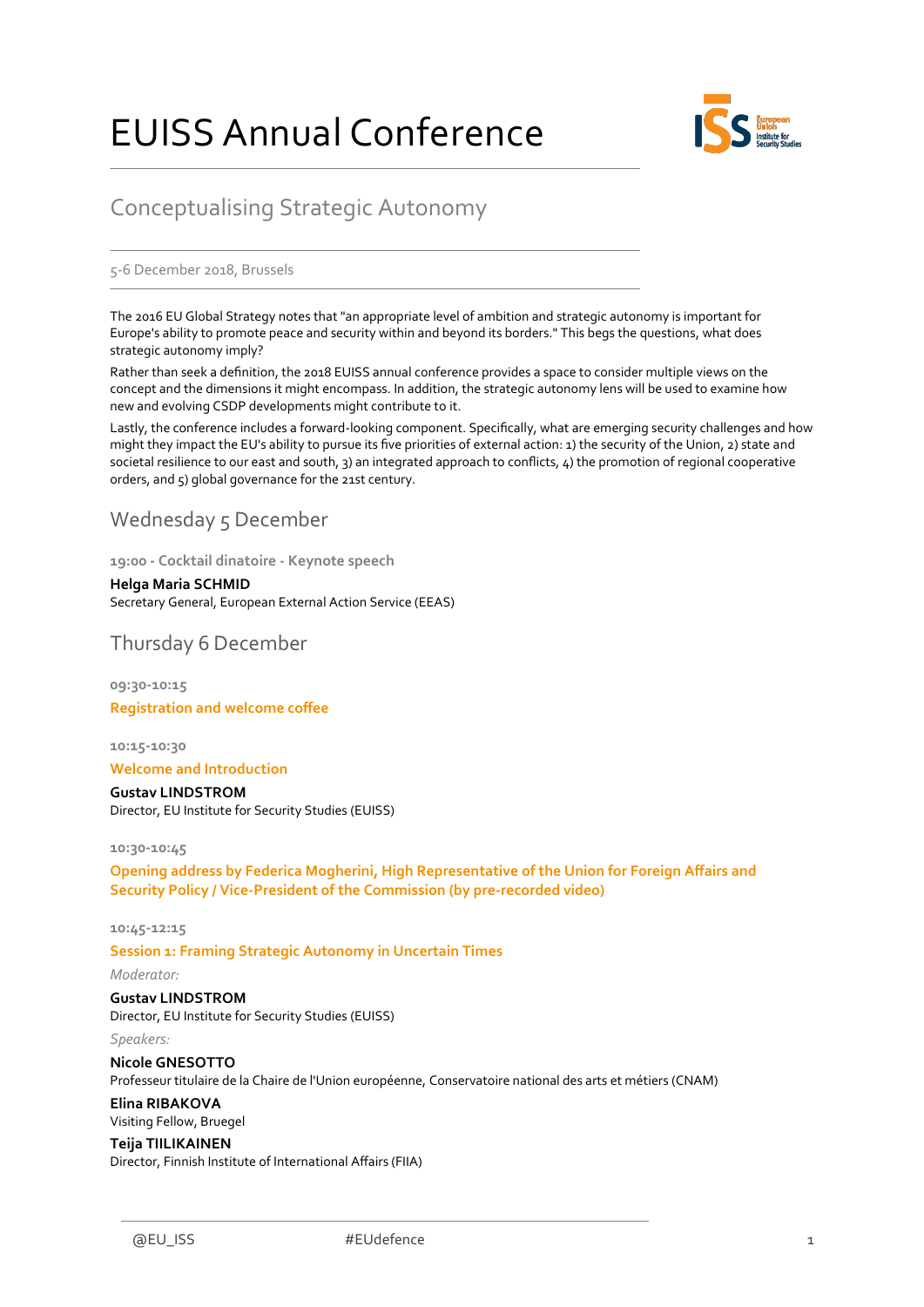# EUISS Annual Conference



## Conceptualising Strategic Autonomy

#### 5-6 December 2018, Brussels

The 2016 EU Global Strategy notes that "an appropriate level of ambition and strategic autonomy is important for Europe's ability to promote peace and security within and beyond its borders." This begs the questions, what does strategic autonomy imply?

Rather than seek a definition, the 2018 EUISS annual conference provides a space to consider multiple views on the concept and the dimensions it might encompass. In addition, the strategic autonomy lens will be used to examine how new and evolving CSDP developments might contribute to it.

Lastly, the conference includes a forward-looking component. Specifically, what are emerging security challenges and how might they impact the EU's ability to pursue its five priorities of external action: 1) the security of the Union, 2) state and societal resilience to our east and south, 3) an integrated approach to conflicts, 4) the promotion of regional cooperative orders, and 5) global governance for the 21st century.

### Wednesday 5 December

**19:00 - Cocktail dinatoire - Keynote speech** 

**Helga Maria SCHMID** Secretary General, European External Action Service (EEAS)

Thursday 6 December

**09:30-10:15 Registration and welcome coffee**

**10:15-10:30**

#### **Welcome and Introduction**

**Gustav LINDSTROM** Director, EU Institute for Security Studies (EUISS)

**10:30-10:45**

**Opening address by Federica Mogherini, High Representative of the Union for Foreign Affairs and Security Policy / Vice-President of the Commission (by pre-recorded video)**

#### **10:45-12:15**

**Session 1: Framing Strategic Autonomy in Uncertain Times**

*Moderator:*

*Speakers:* 

**Gustav LINDSTROM** Director, EU Institute for Security Studies (EUISS)

**Nicole GNESOTTO** Professeur titulaire de la Chaire de l'Union européenne, Conservatoire national des arts et métiers (CNAM)

**Elina RIBAKOVA** Visiting Fellow, Bruegel

**Teija TIILIKAINEN**

Director, Finnish Institute of International Affairs (FIIA)